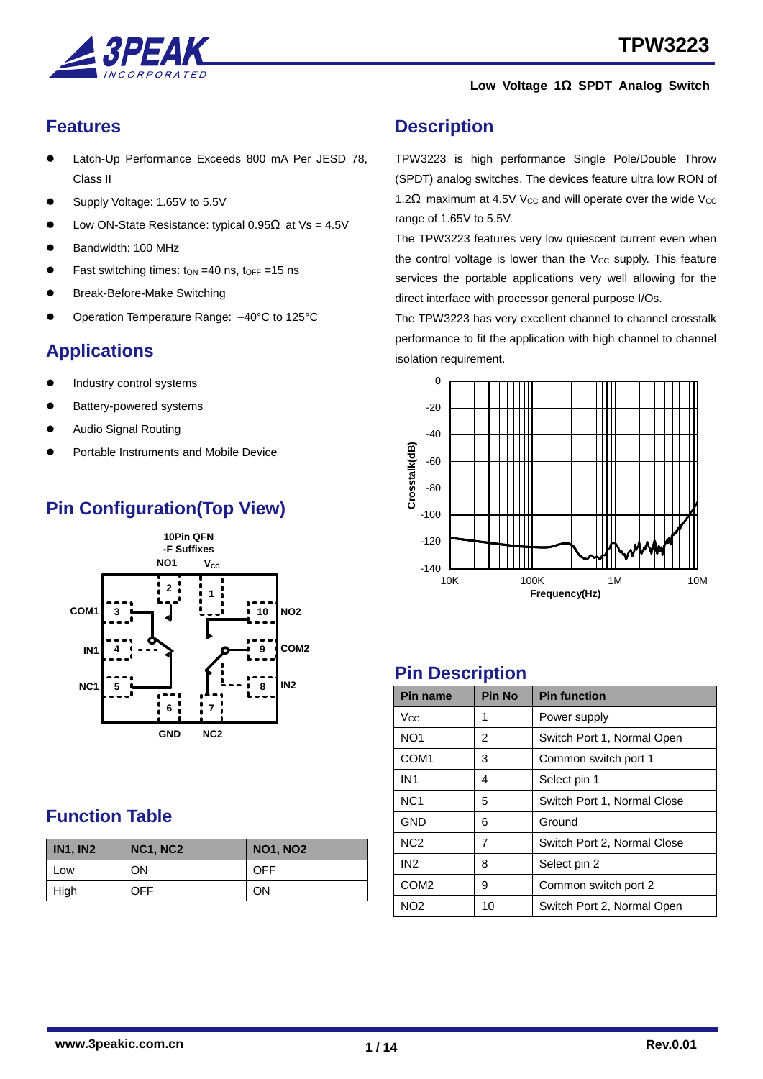

### <span id="page-0-0"></span>**Features**

- Latch-Up Performance Exceeds 800 mA Per JESD 78, Class II
- Supply Voltage: 1.65V to 5.5V
- Low ON-State Resistance: typical  $0.95\Omega$  at Vs = 4.5V
- Bandwidth: 100 MHz
- Fast switching times:  $\tan = 40$  ns,  $\tan = 15$  ns
- Break-Before-Make Switching
- Operation Temperature Range: –40°C to 125°C

## <span id="page-0-1"></span>**Applications**

- Industry control systems
- Battery-powered systems
- Audio Signal Routing
- Portable Instruments and Mobile Device

## **Pin Configuration(Top View)**



### <span id="page-0-2"></span>**Function Table**

| <b>IN1, IN2</b> | <b>NC1, NC2</b> | <b>NO1, NO2</b> |
|-----------------|-----------------|-----------------|
| Low             | ON              | <b>OFF</b>      |
| High            | <b>OFF</b>      | ON              |

### <span id="page-0-3"></span>**Description**

TPW3223 is high performance Single Pole/Double Throw (SPDT) analog switches. The devices feature ultra low RON of 1.2Ω maximum at 4.5V V<sub>CC</sub> and will operate over the wide V<sub>CC</sub> range of 1.65V to 5.5V.

The TPW3223 features very low quiescent current even when the control voltage is lower than the  $V_{CC}$  supply. This feature services the portable applications very well allowing for the direct interface with processor general purpose I/Os.

The TPW3223 has very excellent channel to channel crosstalk performance to fit the application with high channel to channel isolation requirement.



### <span id="page-0-4"></span>**Pin Description**

| <b>Pin name</b>  | <b>Pin No</b> | <b>Pin function</b>         |
|------------------|---------------|-----------------------------|
| Vcc              | 1             | Power supply                |
| NO <sub>1</sub>  | 2             | Switch Port 1, Normal Open  |
| COM <sub>1</sub> | 3             | Common switch port 1        |
| IN <sub>1</sub>  | 4             | Select pin 1                |
| NC <sub>1</sub>  | 5             | Switch Port 1, Normal Close |
| <b>GND</b>       | 6             | Ground                      |
| N <sub>C</sub> 2 | 7             | Switch Port 2, Normal Close |
| IN <sub>2</sub>  | 8             | Select pin 2                |
| COM <sub>2</sub> | 9             | Common switch port 2        |
| NO <sub>2</sub>  | 10            | Switch Port 2, Normal Open  |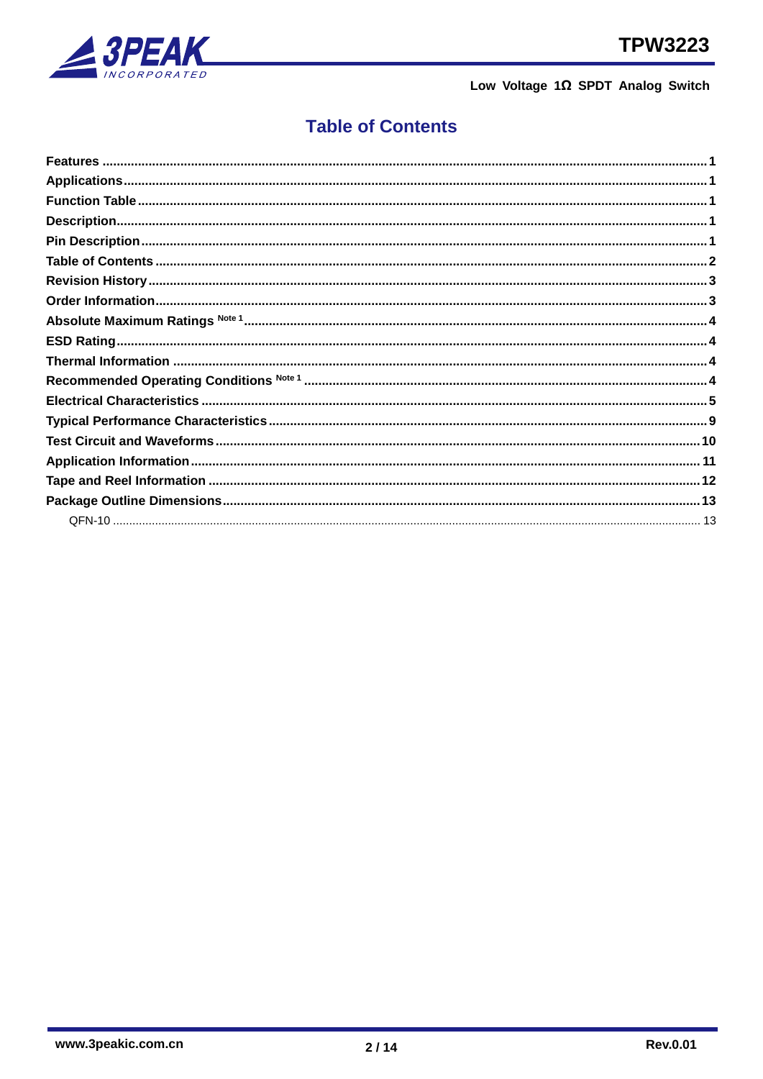



## <span id="page-1-0"></span>**Table of Contents**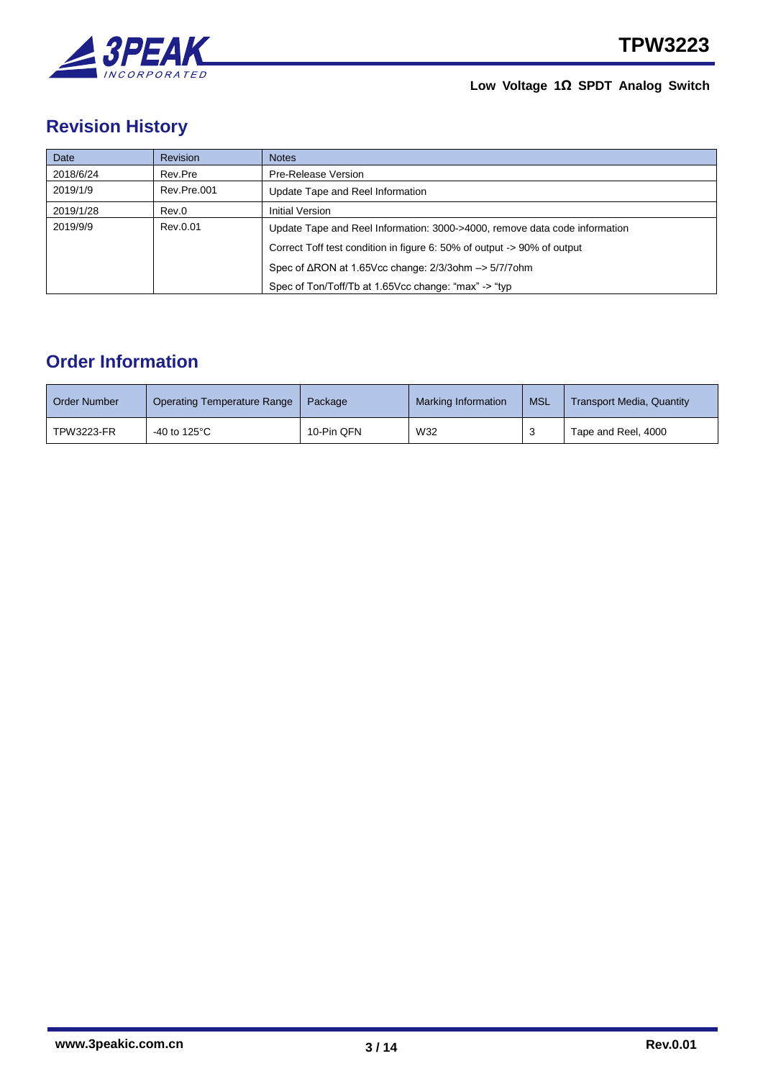

# <span id="page-2-0"></span>**Revision History**

| Date      | <b>Revision</b> | <b>Notes</b>                                                               |
|-----------|-----------------|----------------------------------------------------------------------------|
| 2018/6/24 | Rev.Pre         | Pre-Release Version                                                        |
| 2019/1/9  | Rev.Pre.001     | Update Tape and Reel Information                                           |
| 2019/1/28 | Rev.0           | Initial Version                                                            |
| 2019/9/9  | Rev.0.01        | Update Tape and Reel Information: 3000->4000, remove data code information |
|           |                 | Correct Toff test condition in figure 6: 50% of output -> 90% of output    |
|           |                 | Spec of $\triangle$ RON at 1.65Vcc change: 2/3/30hm $\rightarrow$ 5/7/70hm |
|           |                 | Spec of Ton/Toff/Tb at 1.65Vcc change: "max" -> "typ                       |

## <span id="page-2-1"></span>**Order Information**

| <b>Order Number</b> | Operating Temperature Range     | Package    | Marking Information | <b>MSL</b> | <b>Transport Media, Quantity</b> |
|---------------------|---------------------------------|------------|---------------------|------------|----------------------------------|
| <b>TPW3223-FR</b>   | -40 to 125 $\mathrm{^{\circ}C}$ | 10-Pin QFN | W32                 |            | Tape and Reel, 4000              |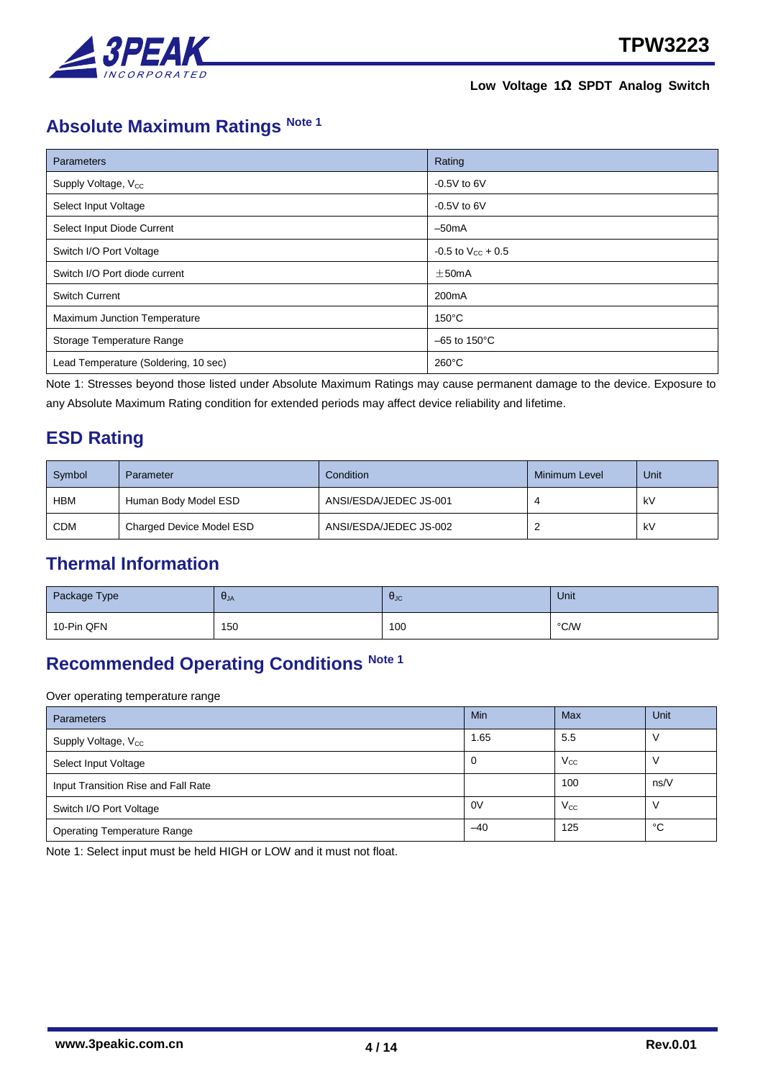

# <span id="page-3-0"></span>**Absolute Maximum Ratings Note 1**

| Parameters                           | Rating                   |
|--------------------------------------|--------------------------|
| Supply Voltage, V <sub>cc</sub>      | $-0.5V$ to 6V            |
| Select Input Voltage                 | $-0.5V$ to 6V            |
| Select Input Diode Current           | $-50mA$                  |
| Switch I/O Port Voltage              | $-0.5$ to $V_{CC}$ + 0.5 |
| Switch I/O Port diode current        | $\pm$ 50mA               |
| <b>Switch Current</b>                | 200 <sub>m</sub> A       |
| Maximum Junction Temperature         | $150^{\circ}$ C          |
| Storage Temperature Range            | $-65$ to 150 $\degree$ C |
| Lead Temperature (Soldering, 10 sec) | $260^{\circ}$ C          |

Note 1: Stresses beyond those listed under Absolute Maximum Ratings may cause permanent damage to the device. Exposure to any Absolute Maximum Rating condition for extended periods may affect device reliability and lifetime.

### <span id="page-3-1"></span>**ESD Rating**

| Symbol     | Parameter                | <b>Condition</b>       | Minimum Level | Unit |
|------------|--------------------------|------------------------|---------------|------|
| <b>HBM</b> | Human Body Model ESD     | ANSI/ESDA/JEDEC JS-001 |               | kV   |
| <b>CDM</b> | Charged Device Model ESD | ANSI/ESDA/JEDEC JS-002 |               | kV   |

### <span id="page-3-2"></span>**Thermal Information**

| Package Type | $U_{JA}$ | <b>A</b> JC | Unit |
|--------------|----------|-------------|------|
| 10-Pin QFN   | 150      | 100         | °C/W |

# <span id="page-3-3"></span>**Recommended Operating Conditions Note 1**

Over operating temperature range

| <b>Parameters</b>                   | Min   | Max          | Unit |
|-------------------------------------|-------|--------------|------|
| Supply Voltage, V <sub>cc</sub>     | 1.65  | 5.5          |      |
| Select Input Voltage                | 0     | $V_{\rm CC}$ |      |
| Input Transition Rise and Fall Rate |       | 100          | ns/V |
| Switch I/O Port Voltage             | 0V    | $V_{\rm CC}$ |      |
| <b>Operating Temperature Range</b>  | $-40$ | 125          | °C   |

Note 1: Select input must be held HIGH or LOW and it must not float.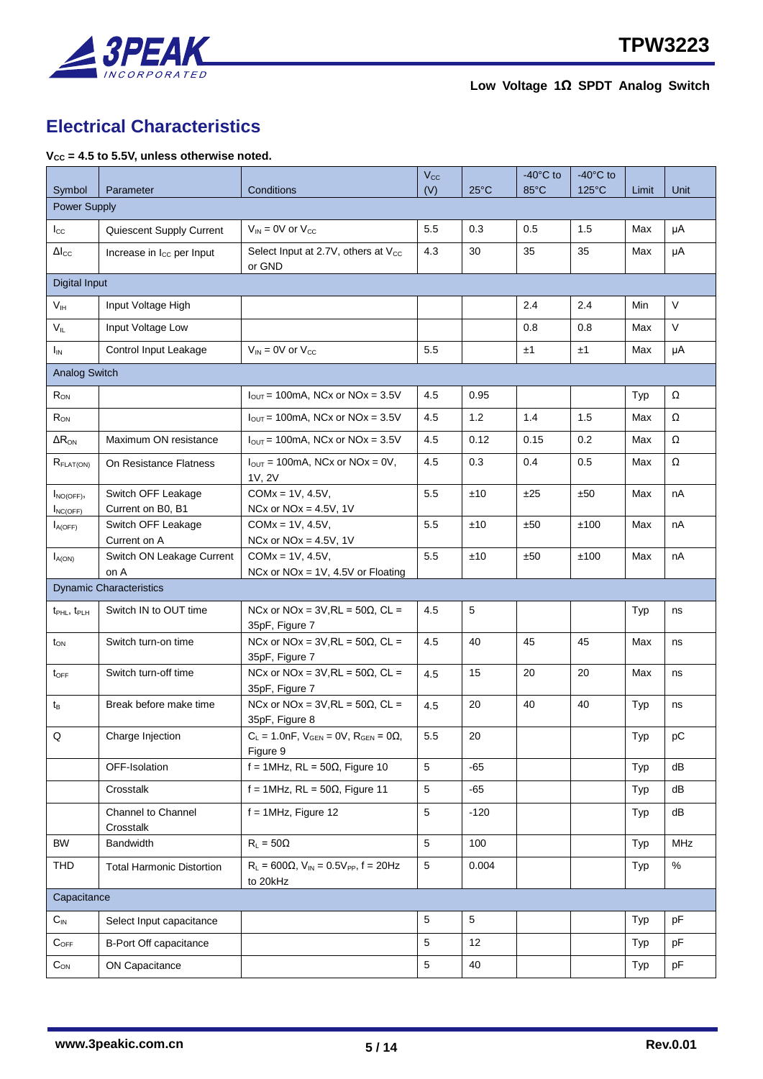

## <span id="page-4-0"></span>**Electrical Characteristics**

#### **VCC = 4.5 to 5.5V, unless otherwise noted.**

|                                     |                                         |                                                                       | $V_{\rm CC}$    |                | $-40^{\circ}$ C to | $-40^{\circ}$ C to |       |            |
|-------------------------------------|-----------------------------------------|-----------------------------------------------------------------------|-----------------|----------------|--------------------|--------------------|-------|------------|
| Symbol                              | Parameter                               | Conditions                                                            | (V)             | $25^{\circ}$ C | 85°C               | $125^{\circ}$ C    | Limit | Unit       |
| <b>Power Supply</b>                 |                                         |                                                                       |                 |                |                    |                    |       |            |
| $I_{\rm CC}$                        | Quiescent Supply Current                | $V_{IN}$ = 0V or $V_{CC}$                                             | 5.5             | 0.3            | 0.5                | 1.5                | Max   | μA         |
| $\Delta I_{CC}$                     | Increase in I <sub>cc</sub> per Input   | Select Input at 2.7V, others at V <sub>cc</sub><br>or GND             | 4.3             | 30             | 35                 | 35                 | Max   | μA         |
| Digital Input                       |                                         |                                                                       |                 |                |                    |                    |       |            |
| V <sub>IH</sub>                     | Input Voltage High                      |                                                                       |                 |                | 2.4                | 2.4                | Min   | $\vee$     |
| $V_{IL}$                            | Input Voltage Low                       |                                                                       |                 |                | 0.8                | 0.8                | Max   | $\vee$     |
| $I_{IN}$                            | Control Input Leakage                   | $V_{IN}$ = 0V or $V_{CC}$                                             | 5.5             |                | ±1                 | ±1                 | Max   | μA         |
| <b>Analog Switch</b>                |                                         |                                                                       |                 |                |                    |                    |       |            |
| $R_{ON}$                            |                                         | $I_{OUT}$ = 100mA, NCx or NOx = 3.5V                                  | 4.5             | 0.95           |                    |                    | Typ   | Ω          |
| $R_{ON}$                            |                                         | $I_{\text{OUT}}$ = 100mA, NCx or NOx = 3.5V                           | 4.5             | 1.2            | 1.4                | 1.5                | Max   | Ω          |
| $\Delta R_{ON}$                     | Maximum ON resistance                   | $I_{OUT}$ = 100mA, NCx or NOx = 3.5V                                  | 4.5             | 0.12           | 0.15               | 0.2                | Max   | Ω          |
| R <sub>FLAT(ON)</sub>               | On Resistance Flatness                  | $I_{\text{OUT}} = 100 \text{mA}$ , NCx or NOx = 0V,<br>1V, 2V         | 4.5             | 0.3            | 0.4                | 0.5                | Max   | Ω          |
| $I_{NO(OFF)}$<br>$I_{NC(OFF)}$      | Switch OFF Leakage<br>Current on B0, B1 | $COMx = 1V, 4.5V,$<br>NCx or $NOx = 4.5V$ , 1V                        | 5.5             | ±10            | ±25                | ±50                | Max   | nA         |
| $I_{A(OFF)}$                        | Switch OFF Leakage<br>Current on A      | $COMx = 1V, 4.5V,$<br>NCx or $NOx = 4.5V$ , 1V                        | 5.5             | ±10            | ±50                | ±100               | Max   | nA         |
| $I_{A(ON)}$                         | Switch ON Leakage Current<br>on A       | $COMx = 1V, 4.5V,$<br>NCx or $NOx = 1V$ , 4.5V or Floating            | 5.5             | ±10            | ±50                | ±100               | Max   | nA         |
|                                     | <b>Dynamic Characteristics</b>          |                                                                       |                 |                |                    |                    |       |            |
| t <sub>PHL</sub> , t <sub>PLH</sub> | Switch IN to OUT time                   | NCx or NOx = $3V$ , RL = $50\Omega$ , CL =<br>35pF, Figure 7          | 4.5             | 5              |                    |                    | Typ   | ns         |
| $t_{ON}$                            | Switch turn-on time                     | NCx or NOx = $3V,RL = 50\Omega$ , CL =<br>35pF, Figure 7              | 4.5             | 40             | 45                 | 45                 | Max   | ns         |
| $t_{\text{OFF}}$                    | Switch turn-off time                    | NCx or NOx = $3V$ , RL = $50\Omega$ , CL =<br>35pF, Figure 7          | 4.5             | 15             | 20                 | 20                 | Max   | ns         |
| $t_{\mathsf{B}}$                    | Break before make time                  | NCx or NOx = $3V,RL = 50\Omega$ , CL =<br>35pF, Figure 8              | 4.5             | 20             | 40                 | 40                 | Typ   | ns         |
| Q                                   | Charge Injection                        | $C_L = 1.0nF$ , $V_{GEN} = 0V$ , $R_{GEN} = 0\Omega$ ,<br>Figure 9    | 5.5             | 20             |                    |                    | Typ   | pC         |
|                                     | OFF-Isolation                           | f = 1MHz, RL = $50\Omega$ , Figure 10                                 | 5               | $-65$          |                    |                    | Typ   | dB         |
|                                     | Crosstalk                               | $f = 1$ MHz, RL = 50 $\Omega$ , Figure 11                             | 5               | -65            |                    |                    | Typ   | dB         |
|                                     | <b>Channel to Channel</b><br>Crosstalk  | $f = 1$ MHz, Figure 12                                                | 5               | $-120$         |                    |                    | Typ   | dB         |
| <b>BW</b>                           | Bandwidth                               | $R_L = 50\Omega$                                                      | 5               | 100            |                    |                    | Typ   | <b>MHz</b> |
| <b>THD</b>                          | <b>Total Harmonic Distortion</b>        | $R_L$ = 600 $\Omega$ , $V_{IN}$ = 0.5 $V_{PP}$ , f = 20Hz<br>to 20kHz | 5               | 0.004          |                    |                    | Typ   | $\%$       |
| Capacitance                         |                                         |                                                                       |                 |                |                    |                    |       |            |
| $C_{\text{IN}}$                     | Select Input capacitance                |                                                                       | $5\phantom{.0}$ | 5              |                    |                    | Typ   | pF         |
| $C_{OFF}$                           | <b>B-Port Off capacitance</b>           |                                                                       | 5               | 12             |                    |                    | Typ   | pF         |
| $C_{ON}$                            | <b>ON Capacitance</b>                   |                                                                       | 5               | 40             |                    |                    | Typ   | pF         |
|                                     |                                         |                                                                       |                 |                |                    |                    |       |            |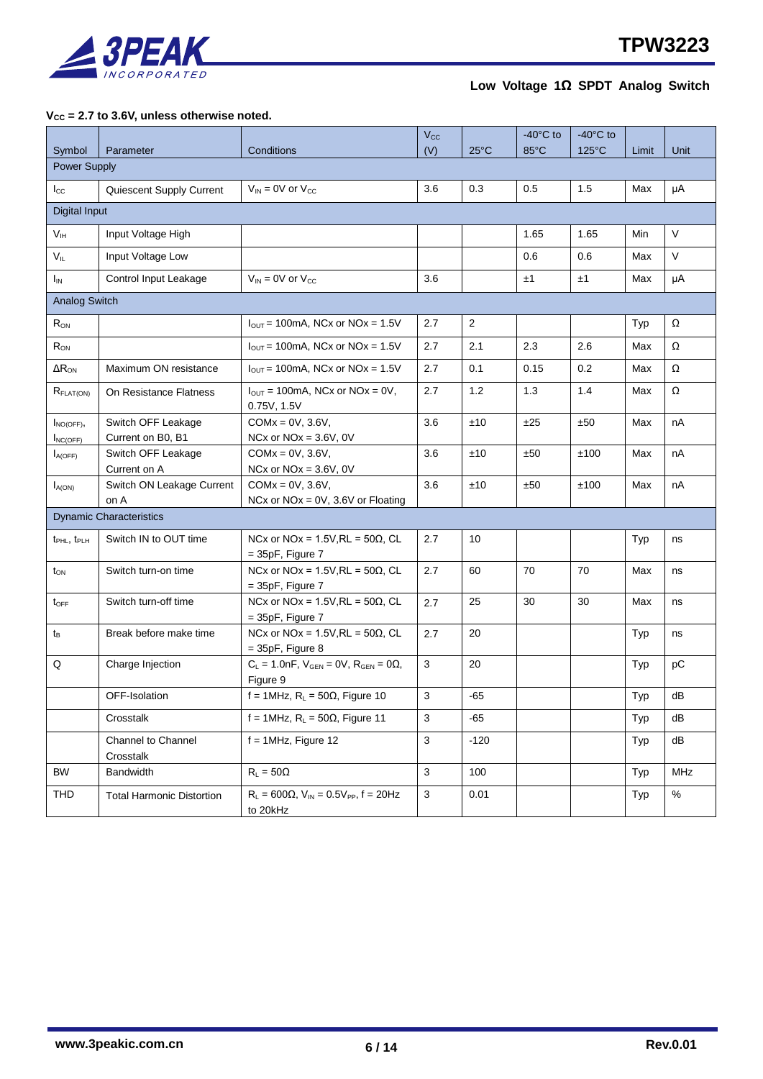

#### **VCC = 2.7 to 3.6V, unless otherwise noted.**

|                                     |                                         |                                                                      | $V_{\rm CC}$ |                | $-40^{\circ}$ C to | $-40^{\circ}$ C to |       |            |
|-------------------------------------|-----------------------------------------|----------------------------------------------------------------------|--------------|----------------|--------------------|--------------------|-------|------------|
| Symbol                              | Parameter                               | Conditions                                                           | (V)          | $25^{\circ}$ C | $85^{\circ}$ C     | 125°C              | Limit | Unit       |
| <b>Power Supply</b>                 |                                         |                                                                      |              |                |                    |                    |       |            |
| $I_{\rm CC}$                        | Quiescent Supply Current                | $V_{IN}$ = 0V or $V_{CC}$                                            | 3.6          | 0.3            | 0.5                | 1.5                | Max   | μA         |
| <b>Digital Input</b>                |                                         |                                                                      |              |                |                    |                    |       |            |
| V <sub>IH</sub>                     | Input Voltage High                      |                                                                      |              |                | 1.65               | 1.65               | Min   | $\vee$     |
| $V_{IL}$                            | Input Voltage Low                       |                                                                      |              |                | 0.6                | 0.6                | Max   | V          |
| $I_{IN}$                            | Control Input Leakage                   | $V_{IN} = 0V$ or $V_{CC}$                                            | 3.6          |                | ±1                 | ±1                 | Max   | μA         |
| <b>Analog Switch</b>                |                                         |                                                                      |              |                |                    |                    |       |            |
| $R_{ON}$                            |                                         | $I_{\text{OUT}}$ = 100mA, NCx or NOx = 1.5V                          | 2.7          | 2              |                    |                    | Typ   | Ω          |
| $R_{ON}$                            |                                         | $I_{OUT}$ = 100mA, NCx or NOx = 1.5V                                 | 2.7          | 2.1            | 2.3                | 2.6                | Max   | Ω          |
| $\Delta R_{ON}$                     | Maximum ON resistance                   | $I_{OUT}$ = 100mA, NCx or NOx = 1.5V                                 | 2.7          | 0.1            | 0.15               | 0.2                | Max   | Ω          |
| $R_{\text{FLAT(ON)}}$               | On Resistance Flatness                  | $I_{\text{OUT}}$ = 100mA, NCx or NOx = 0V,<br>0.75V, 1.5V            | 2.7          | 1.2            | 1.3                | 1.4                | Max   | Ω          |
| $I_{NO(OFF)}$<br>$I_{NC(OFF)}$      | Switch OFF Leakage<br>Current on B0, B1 | $COMx = 0V$ , 3.6V,<br>NCx or $NOx = 3.6V$ , 0V                      | 3.6          | ±10            | ±25                | ±50                | Max   | nA         |
| $I_{A(OFF)}$                        | Switch OFF Leakage<br>Current on A      | $COMx = 0V$ , 3.6V,<br>NCx or $NOx = 3.6V$ , 0V                      | 3.6          | ±10            | ±50                | ±100               | Max   | nA         |
| $I_{A(ON)}$                         | Switch ON Leakage Current<br>on A       | $COMx = 0V$ , 3.6V,<br>NCx or $NOx = 0V$ , 3.6V or Floating          | 3.6          | ±10            | ±50                | ±100               | Max   | nA         |
|                                     | <b>Dynamic Characteristics</b>          |                                                                      |              |                |                    |                    |       |            |
| t <sub>PHL</sub> , t <sub>PLH</sub> | Switch IN to OUT time                   | NCx or NOx = $1.5V$ , RL = $50\Omega$ , CL<br>$= 35pF$ , Figure 7    | 2.7          | 10             |                    |                    | Typ   | ns         |
| $t_{ON}$                            | Switch turn-on time                     | NCx or NOx = $1.5V$ , RL = $50\Omega$ , CL<br>$= 35pF$ , Figure 7    | 2.7          | 60             | 70                 | 70                 | Max   | ns         |
| $t_{\text{OFF}}$                    | Switch turn-off time                    | NCx or NOx = $1.5V$ , RL = $50\Omega$ , CL<br>$= 35pF$ , Figure 7    | 2.7          | 25             | 30                 | 30                 | Max   | ns         |
| $t_{B}$                             | Break before make time                  | NCx or NOx = $1.5V,RL = 50\Omega$ , CL<br>$= 35pF$ , Figure 8        | 2.7          | 20             |                    |                    | Typ   | ns         |
| Q                                   | Charge Injection                        | $C_L = 1.0nF$ , $V_{GEN} = 0V$ , $R_{GEN} = 0\Omega$ ,<br>Figure 9   | $\mathbf{3}$ | 20             |                    |                    | Typ   | рC         |
|                                     | OFF-Isolation                           | f = 1MHz, $R_L$ = 50 $\Omega$ , Figure 10                            | $\mathbf{3}$ | $-65$          |                    |                    | Typ   | dB         |
|                                     | Crosstalk                               | f = 1MHz, $R_L$ = 50 $\Omega$ , Figure 11                            | 3            | -65            |                    |                    | Typ   | dB         |
|                                     | Channel to Channel<br>Crosstalk         | $f = 1$ MHz, Figure 12                                               | 3            | $-120$         |                    |                    | Typ   | dB         |
| <b>BW</b>                           | Bandwidth                               | $R_L = 50\Omega$                                                     | 3            | 100            |                    |                    | Typ   | <b>MHz</b> |
| <b>THD</b>                          | <b>Total Harmonic Distortion</b>        | $R_L = 600 \Omega$ , $V_{IN} = 0.5 V_{PP}$ , $f = 20 Hz$<br>to 20kHz | 3            | 0.01           |                    |                    | Typ   | $\%$       |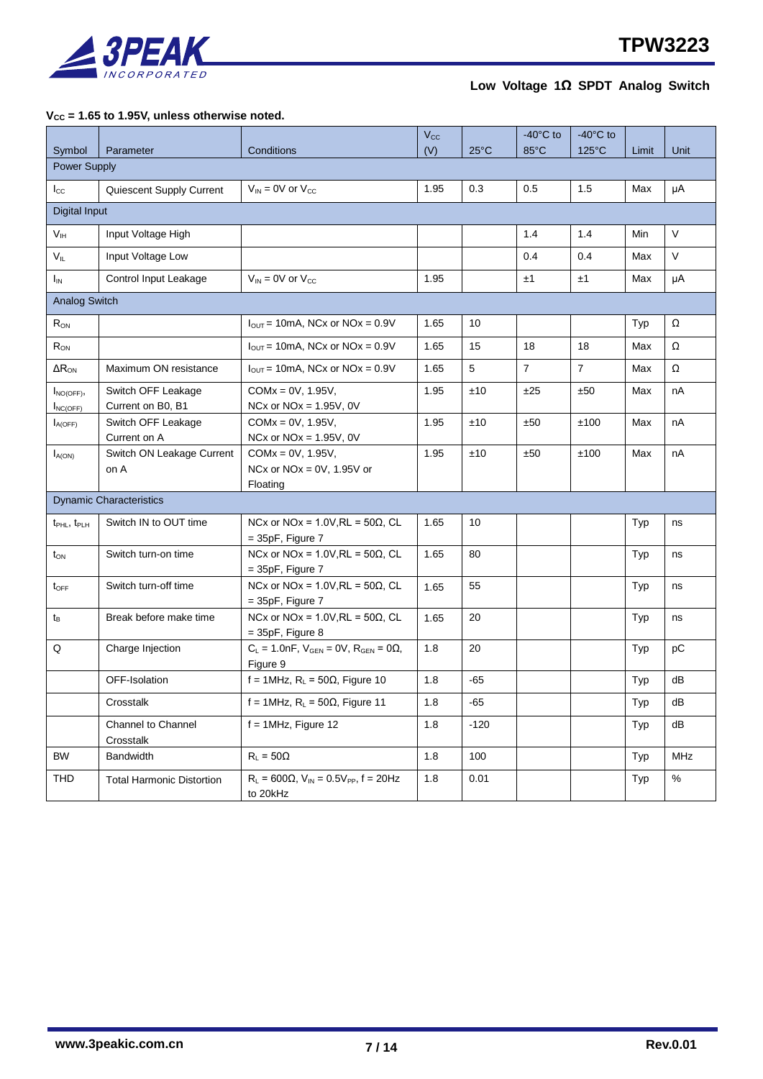

#### **VCC = 1.65 to 1.95V, unless otherwise noted.**

|                                     |                                         |                                                                       | $V_{\rm CC}$ |                | $-40^{\circ}$ C to | $-40^{\circ}$ C to |       |            |
|-------------------------------------|-----------------------------------------|-----------------------------------------------------------------------|--------------|----------------|--------------------|--------------------|-------|------------|
| Symbol                              | Parameter                               | Conditions                                                            | (V)          | $25^{\circ}$ C | $85^{\circ}$ C     | $125^{\circ}$ C    | Limit | Unit       |
| Power Supply                        |                                         |                                                                       |              |                |                    |                    |       |            |
| $I_{\rm CC}$                        | Quiescent Supply Current                | $V_{IN}$ = 0V or $V_{CC}$                                             | 1.95         | 0.3            | 0.5                | 1.5                | Max   | μA         |
| <b>Digital Input</b>                |                                         |                                                                       |              |                |                    |                    |       |            |
| V <sub>IH</sub>                     | Input Voltage High                      |                                                                       |              |                | 1.4                | 1.4                | Min   | $\vee$     |
| $V_{IL}$                            | Input Voltage Low                       |                                                                       |              |                | 0.4                | 0.4                | Max   | V          |
| <b>I<sub>IN</sub></b>               | Control Input Leakage                   | $V_{IN}$ = 0V or $V_{CC}$                                             | 1.95         |                | ±1                 | ±1                 | Max   | μA         |
| <b>Analog Switch</b>                |                                         |                                                                       |              |                |                    |                    |       |            |
| $R_{ON}$                            |                                         | $I_{\text{OUT}}$ = 10mA, NCx or NOx = 0.9V                            | 1.65         | 10             |                    |                    | Typ   | Ω          |
| $R_{ON}$                            |                                         | $I_{OUT} = 10mA$ , NCx or NOx = 0.9V                                  | 1.65         | 15             | 18                 | 18                 | Max   | Ω          |
| $\Delta R_{ON}$                     | Maximum ON resistance                   | $I_{OUT}$ = 10mA, NCx or NOx = 0.9V                                   | 1.65         | 5              | $\overline{7}$     | $\overline{7}$     | Max   | Ω          |
| $I_{NO(OFF)}$<br>$I_{NC(OFF)}$      | Switch OFF Leakage<br>Current on B0, B1 | $COMx = 0V, 1.95V,$<br>NCx or $NOx = 1.95V$ , 0V                      | 1.95         | ±10            | ±25                | ±50                | Max   | nA         |
| $I_{A(OFF)}$                        | Switch OFF Leakage<br>Current on A      | $COMx = 0V, 1.95V,$<br>NCx or $NOx = 1.95V$ , 0V                      | 1.95         | ±10            | ±50                | ±100               | Max   | nA         |
| $I_{A(ON)}$                         | Switch ON Leakage Current<br>on A       | $COMx = 0V, 1.95V,$<br>NCx or $NOx = 0V$ , 1.95V or<br>Floating       | 1.95         | ±10            | ±50                | ±100               | Max   | nA         |
|                                     | <b>Dynamic Characteristics</b>          |                                                                       |              |                |                    |                    |       |            |
| t <sub>PHL</sub> , t <sub>PLH</sub> | Switch IN to OUT time                   | NCx or NOx = $1.0V,RL = 50\Omega$ , CL<br>$= 35pF$ , Figure 7         | 1.65         | 10             |                    |                    | Typ   | ns         |
| $t_{ON}$                            | Switch turn-on time                     | NCx or NOx = $1.0V,RL = 50\Omega$ , CL<br>$= 35pF$ , Figure 7         | 1.65         | 80             |                    |                    | Typ   | ns         |
| $t_{\text{OFF}}$                    | Switch turn-off time                    | NCx or NOx = $1.0V$ , RL = $50\Omega$ , CL<br>$= 35pF$ , Figure 7     | 1.65         | 55             |                    |                    | Typ   | ns         |
| t <sub>B</sub>                      | Break before make time                  | NCx or NOx = $1.0V$ , RL = $50\Omega$ , CL<br>$= 35pF$ , Figure 8     | 1.65         | 20             |                    |                    | Typ   | ns         |
| Q                                   | Charge Injection                        | $C_L = 1.0nF$ , $V_{GEN} = 0V$ , $R_{GEN} = 0\Omega$ ,<br>Figure 9    | 1.8          | 20             |                    |                    | Typ   | рC         |
|                                     | OFF-Isolation                           | f = 1MHz, $R_L$ = 50 $\Omega$ , Figure 10                             | 1.8          | -65            |                    |                    | Typ   | dB         |
|                                     | Crosstalk                               | f = 1MHz, $R_L$ = 50 $\Omega$ , Figure 11                             | 1.8          | $-65$          |                    |                    | Typ   | dB         |
|                                     | Channel to Channel<br>Crosstalk         | $f = 1$ MHz, Figure 12                                                | 1.8          | $-120$         |                    |                    | Typ   | dB         |
| <b>BW</b>                           | <b>Bandwidth</b>                        | $R_L = 50\Omega$                                                      | 1.8          | 100            |                    |                    | Typ   | <b>MHz</b> |
| THD                                 | <b>Total Harmonic Distortion</b>        | $R_L$ = 600 $\Omega$ , $V_{IN}$ = 0.5 $V_{PP}$ , f = 20Hz<br>to 20kHz | 1.8          | 0.01           |                    |                    | Typ   | $\%$       |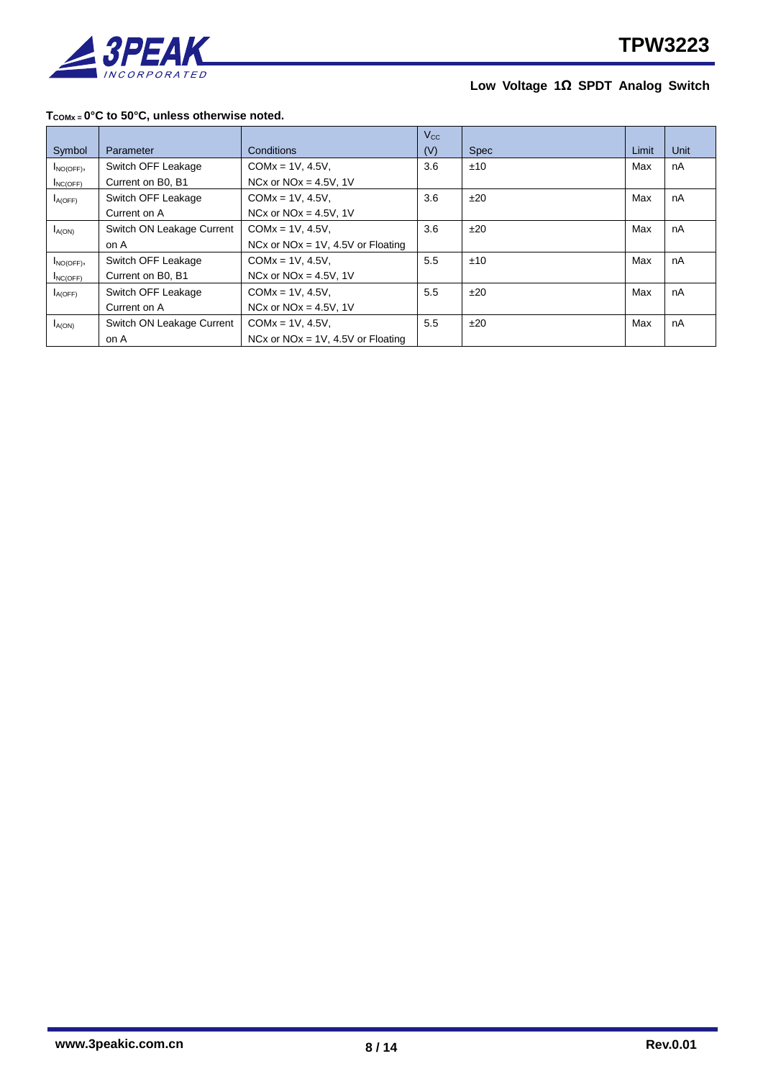

#### **TCOMx = 0°C to 50°C, unless otherwise noted.**

|               |                           |                                      | $V_{\rm CC}$ |             |       |      |
|---------------|---------------------------|--------------------------------------|--------------|-------------|-------|------|
| Symbol        | Parameter                 | Conditions                           | (V)          | <b>Spec</b> | Limit | Unit |
| $I_{NO(OFF)}$ | Switch OFF Leakage        | $COMx = 1V, 4.5V,$                   | 3.6          | ±10         | Max   | nA   |
| $I_{NCOFF}$   | Current on B0, B1         | NCx or $NOx = 4.5V$ , 1V             |              |             |       |      |
| $I_{A(OFF)}$  | Switch OFF Leakage        | $COMx = 1V, 4.5V,$                   | 3.6          | ±20         | Max   | nA   |
|               | Current on A              | NCx or $NOx = 4.5V$ , 1V             |              |             |       |      |
| $I_{A(ON)}$   | Switch ON Leakage Current | $COMx = 1V, 4.5V,$                   | 3.6          | ±20         | Max   | nA   |
|               | on A                      | NCx or $NOx = 1V$ , 4.5V or Floating |              |             |       |      |
| $I_{NO(OFF)}$ | Switch OFF Leakage        | $COMx = 1V, 4.5V,$                   | 5.5          | ±10         | Max   | nA   |
| $I_{NC(OFF)}$ | Current on B0, B1         | NCx or $NOx = 4.5V$ , 1V             |              |             |       |      |
| $I_{A(OFF)}$  | Switch OFF Leakage        | $COMx = 1V, 4.5V,$                   | 5.5          | ±20         | Max   | nA   |
|               | Current on A              | NCx or $NOx = 4.5V$ , 1V             |              |             |       |      |
| $I_{A(ON)}$   | Switch ON Leakage Current | $COMx = 1V, 4.5V,$                   | 5.5          | ±20         | Max   | nA   |
|               | on A                      | NCx or $NOx = 1V$ , 4.5V or Floating |              |             |       |      |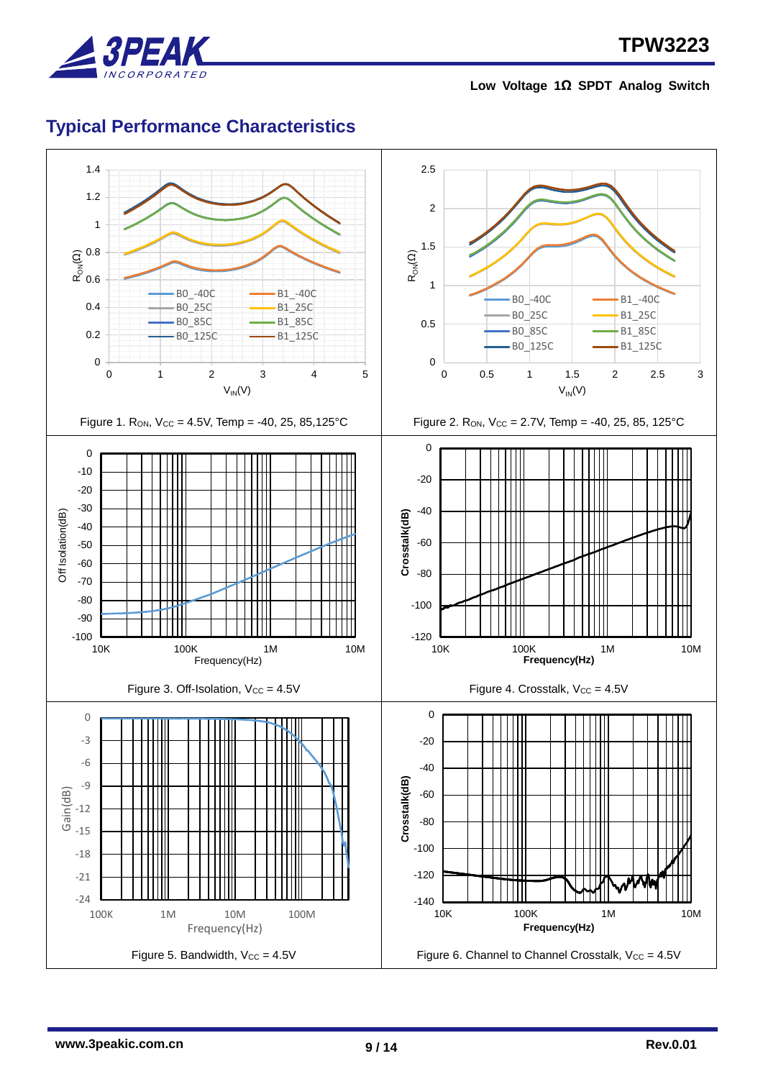

## <span id="page-8-0"></span>**Typical Performance Characteristics**

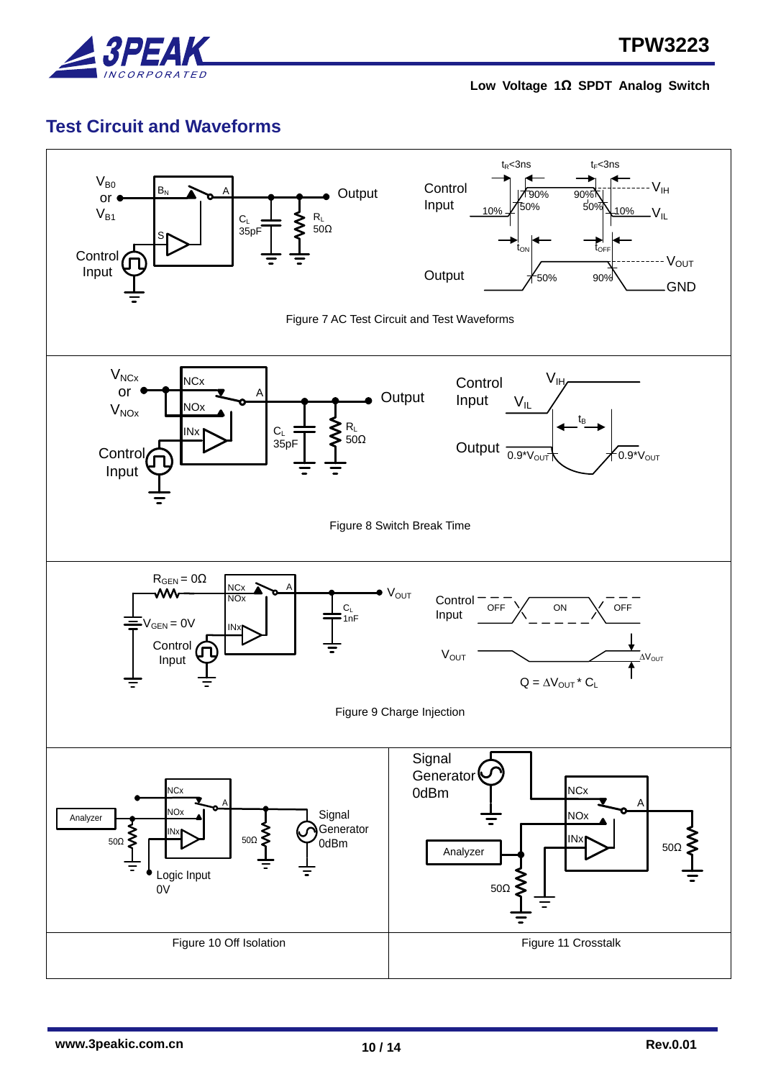

### <span id="page-9-0"></span>**Test Circuit and Waveforms**

<span id="page-9-5"></span><span id="page-9-4"></span><span id="page-9-3"></span><span id="page-9-2"></span><span id="page-9-1"></span>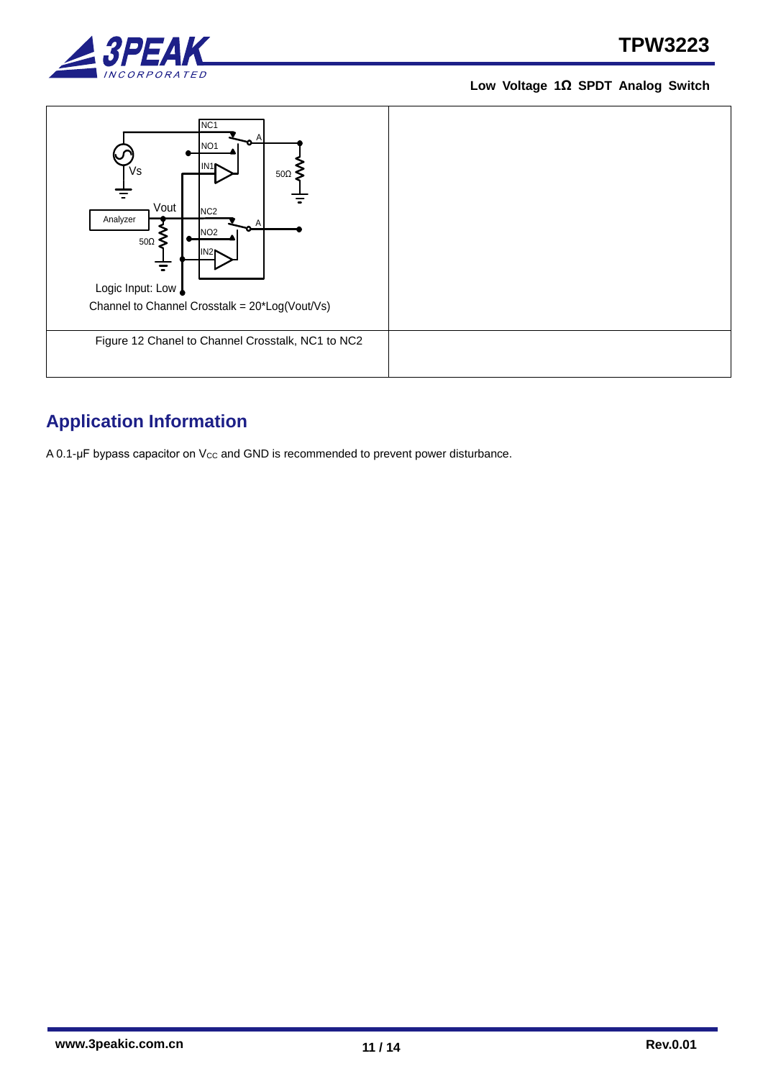



## <span id="page-10-1"></span><span id="page-10-0"></span>**Application Information**

A 0.1-μF bypass capacitor on V<sub>cc</sub> and GND is recommended to prevent power disturbance.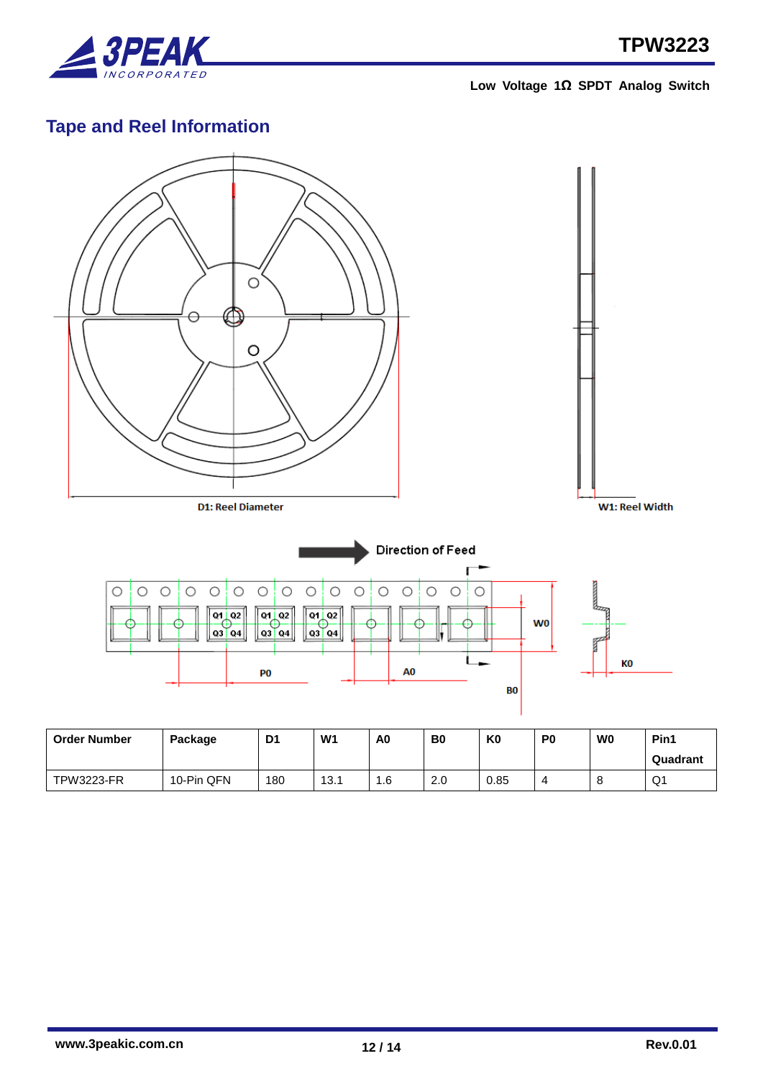

## <span id="page-11-0"></span>**Tape and Reel Information**



TPW3223-FR 10-Pin QFN 180 13.1 1.6 2.0 0.85 4 8 Q1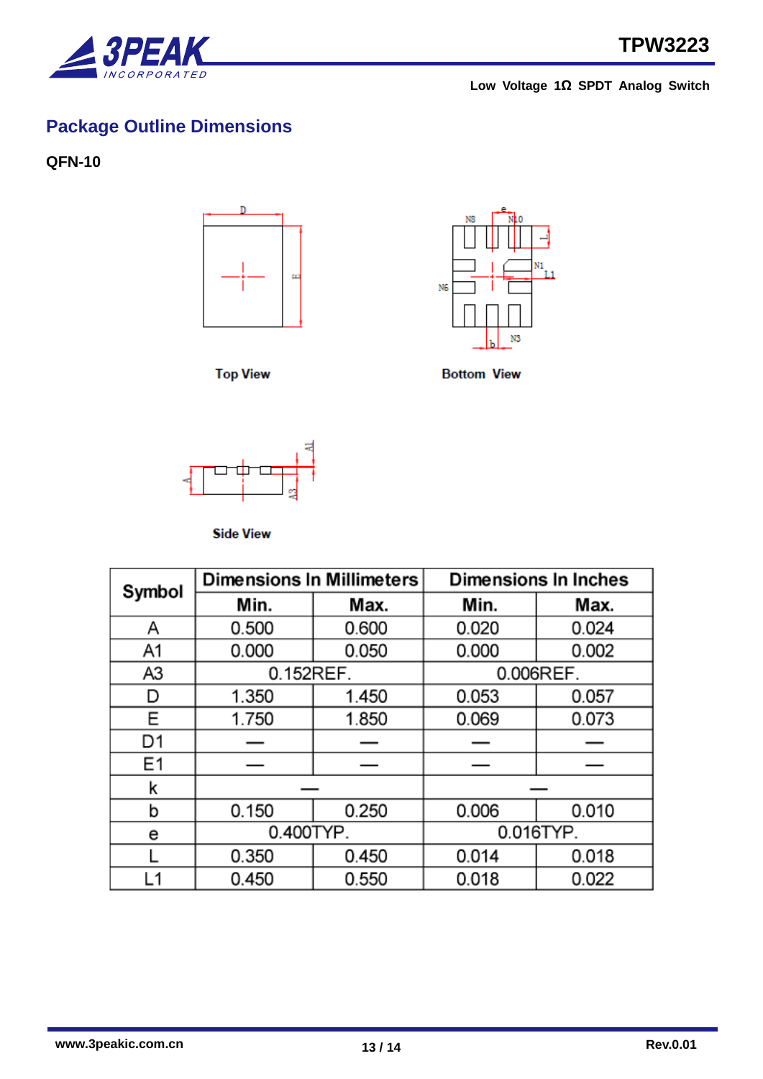

# <span id="page-12-0"></span>**Package Outline Dimensions**

<span id="page-12-1"></span>**QFN-10**



**Top View** 



**Bottom View** 



**Side View** 

| Symbol         | <b>Dimensions In Millimeters</b> |       | Dimensions In Inches |       |  |
|----------------|----------------------------------|-------|----------------------|-------|--|
|                | Min.                             | Max.  | Min.                 | Max.  |  |
| Α              | 0.500                            | 0.600 | 0.020                | 0.024 |  |
| A1             | 0.000                            | 0.050 | 0.000                | 0.002 |  |
| A3             | 0.152REF.                        |       | 0.006REF.            |       |  |
| D              | 1.350                            | 1.450 | 0.053                | 0.057 |  |
| Ε              | 1.750                            | 1.850 | 0.069                | 0.073 |  |
| D <sub>1</sub> |                                  |       |                      |       |  |
| E <sub>1</sub> |                                  |       |                      |       |  |
| k              |                                  |       |                      |       |  |
| b              | 0.150                            | 0.250 | 0.006                | 0.010 |  |
| е              | 0.400TYP.                        |       | 0.016TYP.            |       |  |
|                | 0.350                            | 0.450 | 0.014                | 0.018 |  |
| L1             | 0.450                            | 0.550 | 0.018                | 0.022 |  |